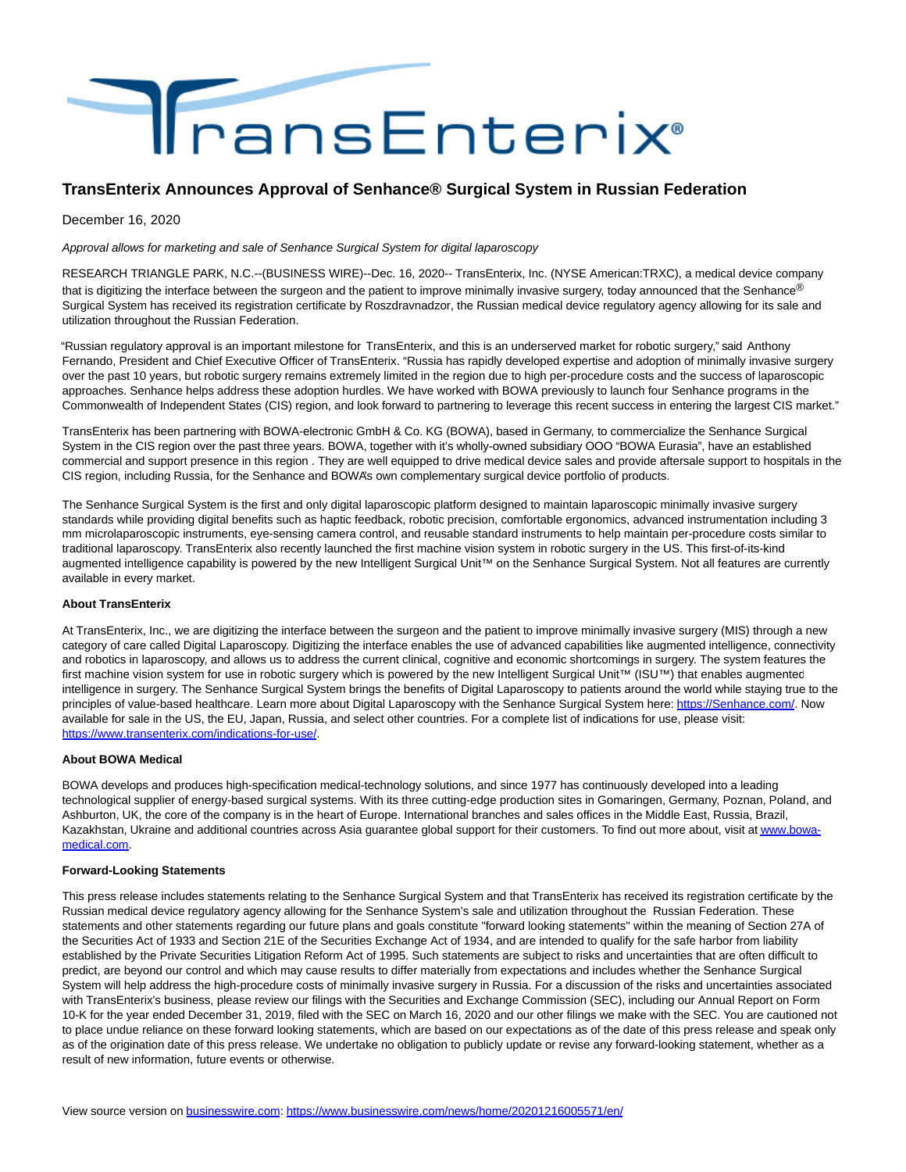

## **TransEnterix Announces Approval of Senhance® Surgical System in Russian Federation**

December 16, 2020

Approval allows for marketing and sale of Senhance Surgical System for digital laparoscopy

RESEARCH TRIANGLE PARK, N.C.--(BUSINESS WIRE)--Dec. 16, 2020-- TransEnterix, Inc. (NYSE American:TRXC), a medical device company that is digitizing the interface between the surgeon and the patient to improve minimally invasive surgery, today announced that the Senhance® Surgical System has received its registration certificate by Roszdravnadzor, the Russian medical device regulatory agency allowing for its sale and utilization throughout the Russian Federation.

"Russian regulatory approval is an important milestone for TransEnterix, and this is an underserved market for robotic surgery," said Anthony Fernando, President and Chief Executive Officer of TransEnterix. "Russia has rapidly developed expertise and adoption of minimally invasive surgery over the past 10 years, but robotic surgery remains extremely limited in the region due to high per-procedure costs and the success of laparoscopic approaches. Senhance helps address these adoption hurdles. We have worked with BOWA previously to launch four Senhance programs in the Commonwealth of Independent States (CIS) region, and look forward to partnering to leverage this recent success in entering the largest CIS market."

TransEnterix has been partnering with BOWA-electronic GmbH & Co. KG (BOWA), based in Germany, to commercialize the Senhance Surgical System in the CIS region over the past three years. BOWA, together with it's wholly-owned subsidiary OOO "BOWA Eurasia", have an established commercial and support presence in this region . They are well equipped to drive medical device sales and provide aftersale support to hospitals in the CIS region, including Russia, for the Senhance and BOWA's own complementary surgical device portfolio of products.

The Senhance Surgical System is the first and only digital laparoscopic platform designed to maintain laparoscopic minimally invasive surgery standards while providing digital benefits such as haptic feedback, robotic precision, comfortable ergonomics, advanced instrumentation including 3 mm microlaparoscopic instruments, eye-sensing camera control, and reusable standard instruments to help maintain per-procedure costs similar to traditional laparoscopy. TransEnterix also recently launched the first machine vision system in robotic surgery in the US. This first-of-its-kind augmented intelligence capability is powered by the new Intelligent Surgical Unit™ on the Senhance Surgical System. Not all features are currently available in every market.

## **About TransEnterix**

At TransEnterix, Inc., we are digitizing the interface between the surgeon and the patient to improve minimally invasive surgery (MIS) through a new category of care called Digital Laparoscopy. Digitizing the interface enables the use of advanced capabilities like augmented intelligence, connectivity and robotics in laparoscopy, and allows us to address the current clinical, cognitive and economic shortcomings in surgery. The system features the first machine vision system for use in robotic surgery which is powered by the new Intelligent Surgical Unit™ (ISU™) that enables augmentec intelligence in surgery. The Senhance Surgical System brings the benefits of Digital Laparoscopy to patients around the world while staying true to the principles of value-based healthcare. Learn more about Digital Laparoscopy with the Senhance Surgical System here: [https://Senhance.com/.](https://cts.businesswire.com/ct/CT?id=smartlink&url=https%3A%2F%2Fsenhance.com%2F&esheet=52349426&newsitemid=20201216005571&lan=en-US&anchor=https%3A%2F%2FSenhance.com%2F&index=1&md5=8cd9d481ffbf9840d150175b300e0adf) Now available for sale in the US, the EU, Japan, Russia, and select other countries. For a complete list of indications for use, please visit: [https://www.transenterix.com/indications-for-use/.](https://cts.businesswire.com/ct/CT?id=smartlink&url=https%3A%2F%2Fwww.transenterix.com%2Findications-for-use%2F&esheet=52349426&newsitemid=20201216005571&lan=en-US&anchor=https%3A%2F%2Fwww.transenterix.com%2Findications-for-use%2F&index=2&md5=f42614d6436239cfada67edd6df089d1)

## **About BOWA Medical**

BOWA develops and produces high-specification medical-technology solutions, and since 1977 has continuously developed into a leading technological supplier of energy-based surgical systems. With its three cutting-edge production sites in Gomaringen, Germany, Poznan, Poland, and Ashburton, UK, the core of the company is in the heart of Europe. International branches and sales offices in the Middle East, Russia, Brazil, Kazakhstan, Ukraine and additional countries across Asia guarantee global support for their customers. To find out more about, visit a[t www.bowa](https://cts.businesswire.com/ct/CT?id=smartlink&url=http%3A%2F%2Fwww.bowa-medical.com&esheet=52349426&newsitemid=20201216005571&lan=en-US&anchor=www.bowa-medical.com&index=3&md5=49996f90a9be38ea1d1ed7b59b32844b)medical.com.

## **Forward-Looking Statements**

This press release includes statements relating to the Senhance Surgical System and that TransEnterix has received its registration certificate by the Russian medical device regulatory agency allowing for the Senhance System's sale and utilization throughout the Russian Federation. These statements and other statements regarding our future plans and goals constitute "forward looking statements'' within the meaning of Section 27A of the Securities Act of 1933 and Section 21E of the Securities Exchange Act of 1934, and are intended to qualify for the safe harbor from liability established by the Private Securities Litigation Reform Act of 1995. Such statements are subject to risks and uncertainties that are often difficult to predict, are beyond our control and which may cause results to differ materially from expectations and includes whether the Senhance Surgical System will help address the high-procedure costs of minimally invasive surgery in Russia. For a discussion of the risks and uncertainties associated with TransEnterix's business, please review our filings with the Securities and Exchange Commission (SEC), including our Annual Report on Form 10-K for the year ended December 31, 2019, filed with the SEC on March 16, 2020 and our other filings we make with the SEC. You are cautioned not to place undue reliance on these forward looking statements, which are based on our expectations as of the date of this press release and speak only as of the origination date of this press release. We undertake no obligation to publicly update or revise any forward-looking statement, whether as a result of new information, future events or otherwise.